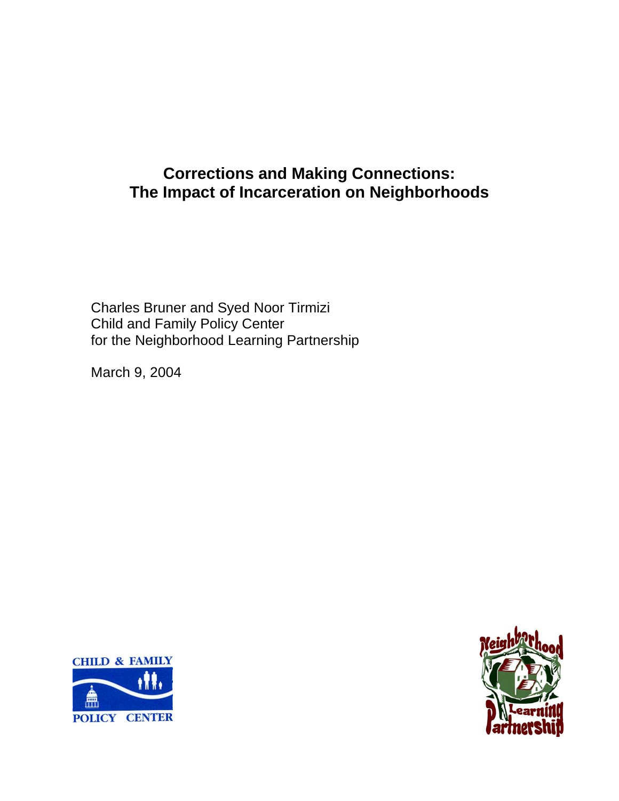# **Corrections and Making Connections: The Impact of Incarceration on Neighborhoods**

Charles Bruner and Syed Noor Tirmizi Child and Family Policy Center for the Neighborhood Learning Partnership

March 9, 2004



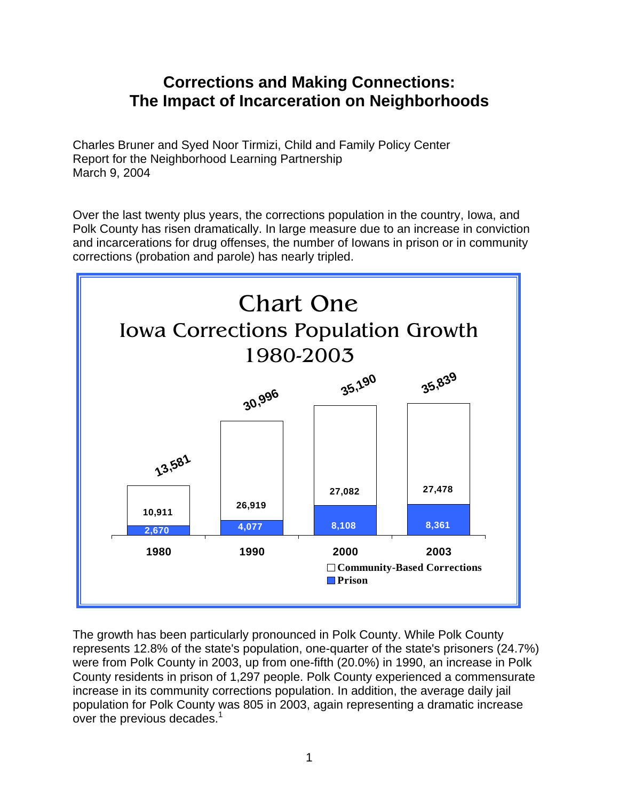## **Corrections and Making Connections: The Impact of Incarceration on Neighborhoods**

Charles Bruner and Syed Noor Tirmizi, Child and Family Policy Center Report for the Neighborhood Learning Partnership March 9, 2004

Over the last twenty plus years, the corrections population in the country, Iowa, and Polk County has risen dramatically. In large measure due to an increase in conviction and incarcerations for drug offenses, the number of Iowans in prison or in community corrections (probation and parole) has nearly tripled.



The growth has been particularly pronounced in Polk County. While Polk County represents 12.8% of the state's population, one-quarter of the state's prisoners (24.7%) were from Polk County in 2003, up from one-fifth (20.0%) in 1990, an increase in Polk County residents in prison of 1,297 people. Polk County experienced a commensurate increase in its community corrections population. In addition, the average daily jail population for Polk County was 805 in 2003, again representing a dramatic increase over the previous decades. $1$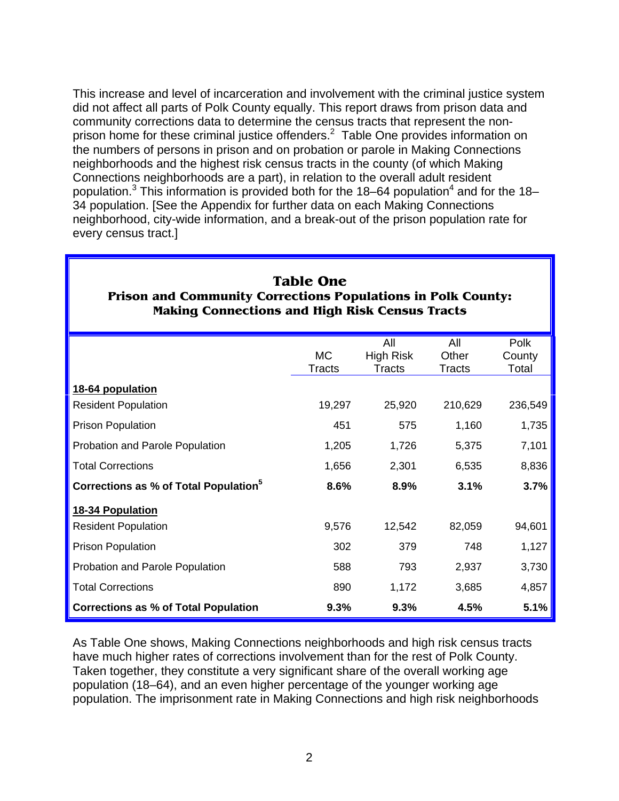This increase and level of incarceration and involvement with the criminal justice system did not affect all parts of Polk County equally. This report draws from prison data and community corrections data to determine the census tracts that represent the nonprison home for these criminal justice offenders. $^2$  Table One provides information on the numbers of persons in prison and on probation or parole in Making Connections neighborhoods and the highest risk census tracts in the county (of which Making Connections neighborhoods are a part), in relation to the overall adult resident population.<sup>3</sup> This information is provided both for the 18–64 population<sup>4</sup> and for the 18– 34 population. [See the Appendix for further data on each Making Connections neighborhood, city-wide information, and a break-out of the prison population rate for every census tract.]

| Making Connections and fligh Kisk Census Tracts   |                     |                                          |                               |                         |  |  |  |  |  |
|---------------------------------------------------|---------------------|------------------------------------------|-------------------------------|-------------------------|--|--|--|--|--|
|                                                   | МC<br><b>Tracts</b> | All<br><b>High Risk</b><br><b>Tracts</b> | All<br>Other<br><b>Tracts</b> | Polk<br>County<br>Total |  |  |  |  |  |
| 18-64 population                                  |                     |                                          |                               |                         |  |  |  |  |  |
| <b>Resident Population</b>                        | 19,297              | 25,920                                   | 210,629                       | 236,549                 |  |  |  |  |  |
| <b>Prison Population</b>                          | 451                 | 575                                      | 1,160                         | 1,735                   |  |  |  |  |  |
| Probation and Parole Population                   | 1,205               | 1,726                                    | 5,375                         | 7,101                   |  |  |  |  |  |
| <b>Total Corrections</b>                          | 1,656               | 2,301                                    | 6,535                         | 8,836                   |  |  |  |  |  |
| Corrections as % of Total Population <sup>5</sup> | 8.6%                | 8.9%                                     | 3.1%                          | 3.7%                    |  |  |  |  |  |
| 18-34 Population                                  |                     |                                          |                               |                         |  |  |  |  |  |
| <b>Resident Population</b>                        | 9,576               | 12,542                                   | 82,059                        | 94,601                  |  |  |  |  |  |
| <b>Prison Population</b>                          | 302                 | 379                                      | 748                           | 1,127                   |  |  |  |  |  |
| Probation and Parole Population                   | 588                 | 793                                      | 2,937                         | 3,730                   |  |  |  |  |  |
| <b>Total Corrections</b>                          | 890                 | 1,172                                    | 3,685                         | 4,857                   |  |  |  |  |  |
| <b>Corrections as % of Total Population</b>       | 9.3%                | 9.3%                                     | 4.5%                          | 5.1%                    |  |  |  |  |  |

#### **Table One Prison and Community Corrections Populations in Polk County: Making Connections and High Risk Census Tracts**

As Table One shows, Making Connections neighborhoods and high risk census tracts have much higher rates of corrections involvement than for the rest of Polk County. Taken together, they constitute a very significant share of the overall working age population (18–64), and an even higher percentage of the younger working age population. The imprisonment rate in Making Connections and high risk neighborhoods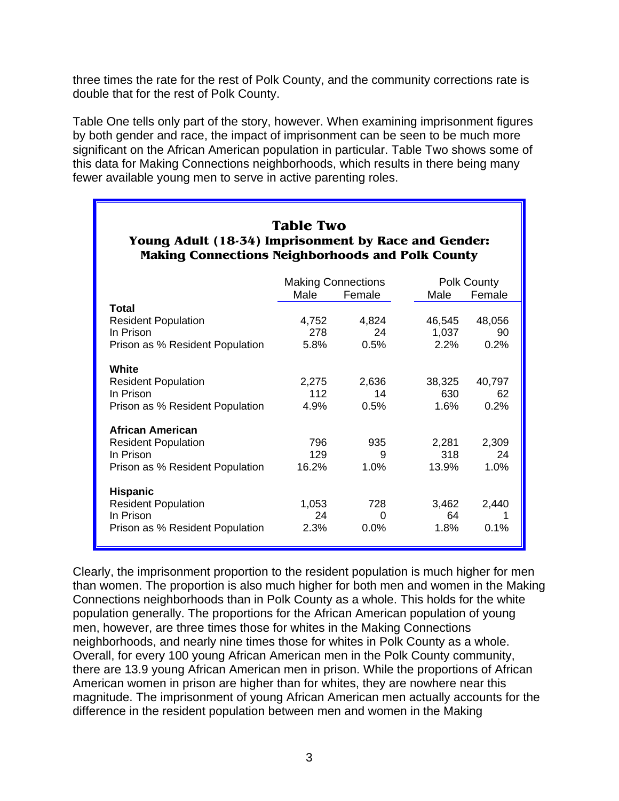three times the rate for the rest of Polk County, and the community corrections rate is double that for the rest of Polk County.

Table One tells only part of the story, however. When examining imprisonment figures by both gender and race, the impact of imprisonment can be seen to be much more significant on the African American population in particular. Table Two shows some of this data for Making Connections neighborhoods, which results in there being many fewer available young men to serve in active parenting roles.

| <b>Table Two</b><br>Young Adult (18-34) Imprisonment by Race and Gender:<br><b>Making Connections Neighborhoods and Polk County</b> |                      |                           |                       |                      |  |  |  |  |  |
|-------------------------------------------------------------------------------------------------------------------------------------|----------------------|---------------------------|-----------------------|----------------------|--|--|--|--|--|
|                                                                                                                                     |                      | <b>Making Connections</b> |                       | Polk County          |  |  |  |  |  |
|                                                                                                                                     | Male                 | Female                    | Male                  | Female               |  |  |  |  |  |
| Total                                                                                                                               |                      |                           |                       |                      |  |  |  |  |  |
| <b>Resident Population</b>                                                                                                          | 4,752                | 4,824                     | 46,545                | 48,056               |  |  |  |  |  |
| In Prison                                                                                                                           | 278                  | 24                        | 1,037                 | 90                   |  |  |  |  |  |
| Prison as % Resident Population                                                                                                     | 5.8%                 | 0.5%                      | 2.2%                  | 0.2%                 |  |  |  |  |  |
| White<br><b>Resident Population</b><br>In Prison<br>Prison as % Resident Population                                                 | 2,275<br>112<br>4.9% | 2,636<br>14<br>0.5%       | 38,325<br>630<br>1.6% | 40,797<br>62<br>0.2% |  |  |  |  |  |
| <b>African American</b>                                                                                                             |                      |                           |                       |                      |  |  |  |  |  |
| <b>Resident Population</b>                                                                                                          | 796                  | 935                       | 2,281                 | 2,309                |  |  |  |  |  |
| In Prison                                                                                                                           | 129                  | 9                         | 318                   | 24                   |  |  |  |  |  |
| Prison as % Resident Population                                                                                                     | 16.2%                | 1.0%                      | 13.9%                 | 1.0%                 |  |  |  |  |  |
| <b>Hispanic</b><br><b>Resident Population</b><br>In Prison<br>Prison as % Resident Population                                       | 1,053<br>24<br>2.3%  | 728<br>0<br>$0.0\%$       | 3.462<br>64<br>1.8%   | 2,440<br>1<br>0.1%   |  |  |  |  |  |

Clearly, the imprisonment proportion to the resident population is much higher for men than women. The proportion is also much higher for both men and women in the Making Connections neighborhoods than in Polk County as a whole. This holds for the white population generally. The proportions for the African American population of young men, however, are three times those for whites in the Making Connections neighborhoods, and nearly nine times those for whites in Polk County as a whole. Overall, for every 100 young African American men in the Polk County community, there are 13.9 young African American men in prison. While the proportions of African American women in prison are higher than for whites, they are nowhere near this magnitude. The imprisonment of young African American men actually accounts for the difference in the resident population between men and women in the Making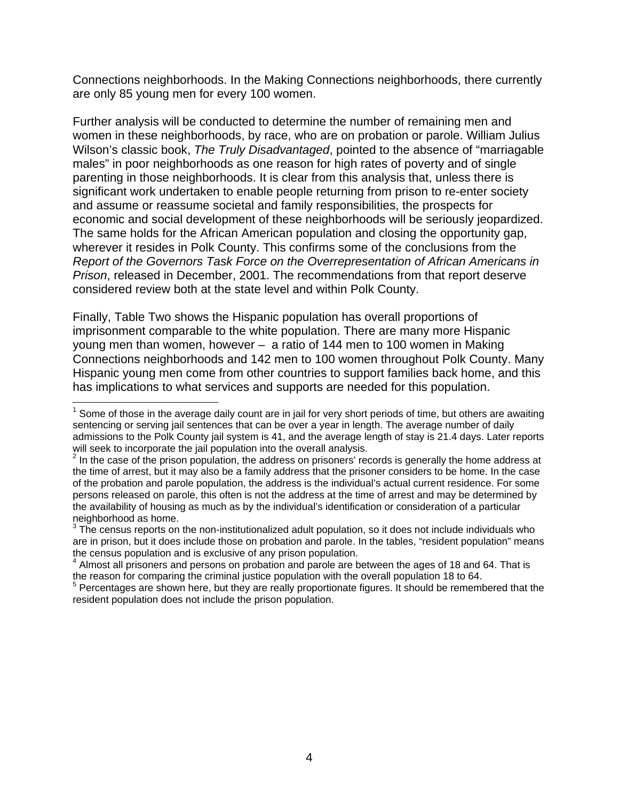Connections neighborhoods. In the Making Connections neighborhoods, there currently are only 85 young men for every 100 women.

Further analysis will be conducted to determine the number of remaining men and women in these neighborhoods, by race, who are on probation or parole. William Julius Wilson's classic book, *The Truly Disadvantaged*, pointed to the absence of "marriagable males" in poor neighborhoods as one reason for high rates of poverty and of single parenting in those neighborhoods. It is clear from this analysis that, unless there is significant work undertaken to enable people returning from prison to re-enter society and assume or reassume societal and family responsibilities, the prospects for economic and social development of these neighborhoods will be seriously jeopardized. The same holds for the African American population and closing the opportunity gap, wherever it resides in Polk County. This confirms some of the conclusions from the *Report of the Governors Task Force on the Overrepresentation of African Americans in Prison*, released in December, 2001. The recommendations from that report deserve considered review both at the state level and within Polk County.

Finally, Table Two shows the Hispanic population has overall proportions of imprisonment comparable to the white population. There are many more Hispanic young men than women, however – a ratio of 144 men to 100 women in Making Connections neighborhoods and 142 men to 100 women throughout Polk County. Many Hispanic young men come from other countries to support families back home, and this has implications to what services and supports are needed for this population.

<sup>————————————————————&</sup>lt;br><sup>1</sup> Some of those in the average daily count are in jail for very short periods of time, but others are awaiting sentencing or serving jail sentences that can be over a year in length. The average number of daily admissions to the Polk County jail system is 41, and the average length of stay is 21.4 days. Later reports will seek to incorporate the jail population into the overall analysis.

 $2$  In the case of the prison population, the address on prisoners' records is generally the home address at the time of arrest, but it may also be a family address that the prisoner considers to be home. In the case of the probation and parole population, the address is the individual's actual current residence. For some persons released on parole, this often is not the address at the time of arrest and may be determined by the availability of housing as much as by the individual's identification or consideration of a particular neighborhood as home.

 $^3$  The census reports on the non-institutionalized adult population, so it does not include individuals who are in prison, but it does include those on probation and parole. In the tables, "resident population" means the census population and is exclusive of any prison population.

<sup>&</sup>lt;sup>4</sup> Almost all prisoners and persons on probation and parole are between the ages of 18 and 64. That is the reason for comparing the criminal justice population with the overall population 18 to 64.

<sup>&</sup>lt;sup>5</sup> Percentages are shown here, but they are really proportionate figures. It should be remembered that the resident population does not include the prison population.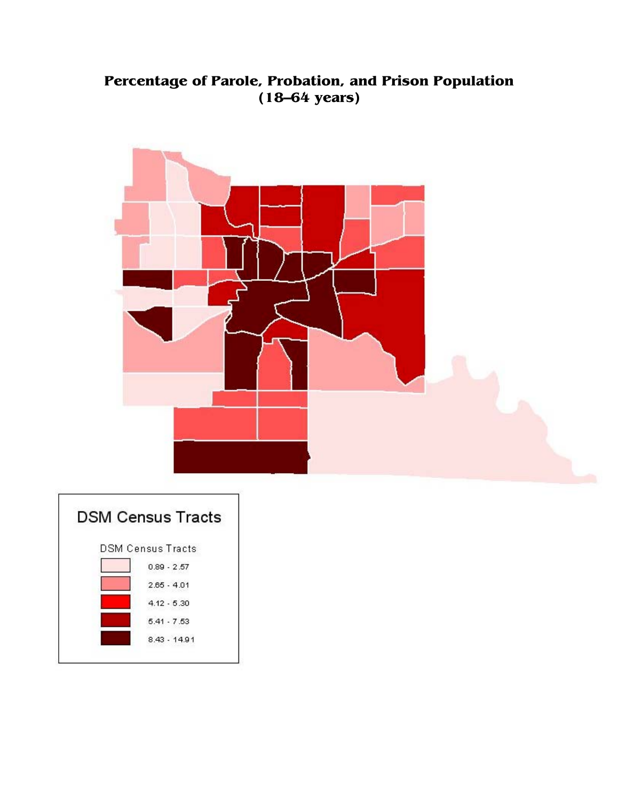### **Percentage of Parole, Probation, and Prison Population (18—64 years)**



| <b>DSM Census Tracts</b> |
|--------------------------|
| <b>DSM Census Tracts</b> |
| $0.89 - 2.57$            |
| $2.65 - 4.01$            |
| $4.12 - 5.30$            |
| $5.41 - 7.53$            |
| $8.43 - 14.91$           |
|                          |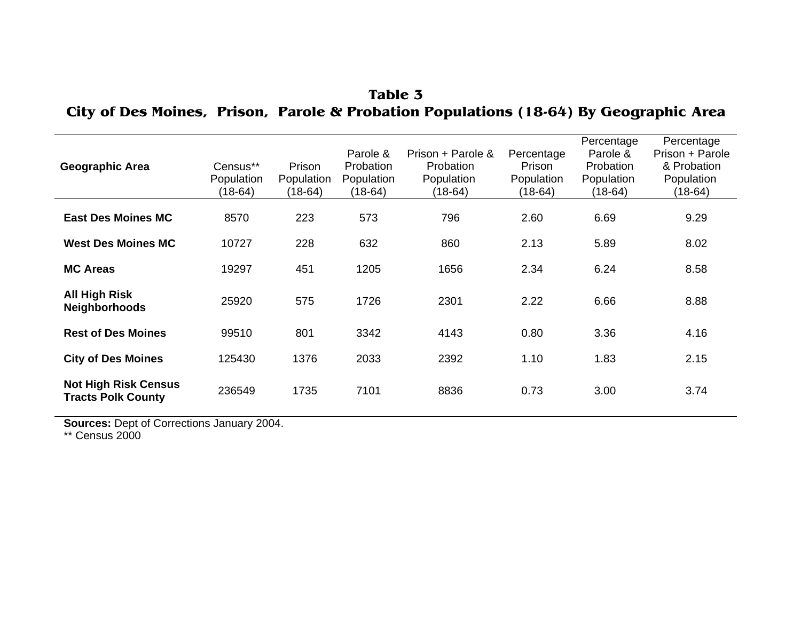| <b>Geographic Area</b>                                   | Census**<br>Population<br>(18-64) | Prison<br>Population<br>(18-64) | Parole &<br>Probation<br>Population<br>(18-64) | Prison + Parole &<br>Probation<br>Population<br>(18-64) | Percentage<br>Prison<br>Population<br>$(18-64)$ | Percentage<br>Parole &<br>Probation<br>Population<br>$(18-64)$ | Percentage<br>Prison + Parole<br>& Probation<br>Population<br>(18-64) |
|----------------------------------------------------------|-----------------------------------|---------------------------------|------------------------------------------------|---------------------------------------------------------|-------------------------------------------------|----------------------------------------------------------------|-----------------------------------------------------------------------|
| <b>East Des Moines MC</b>                                | 8570                              | 223                             | 573                                            | 796                                                     | 2.60                                            | 6.69                                                           | 9.29                                                                  |
| <b>West Des Moines MC</b>                                | 10727                             | 228                             | 632                                            | 860                                                     | 2.13                                            | 5.89                                                           | 8.02                                                                  |
| <b>MC Areas</b>                                          | 19297                             | 451                             | 1205                                           | 1656                                                    | 2.34                                            | 6.24                                                           | 8.58                                                                  |
| All High Risk<br><b>Neighborhoods</b>                    | 25920                             | 575                             | 1726                                           | 2301                                                    | 2.22                                            | 6.66                                                           | 8.88                                                                  |
| <b>Rest of Des Moines</b>                                | 99510                             | 801                             | 3342                                           | 4143                                                    | 0.80                                            | 3.36                                                           | 4.16                                                                  |
| <b>City of Des Moines</b>                                | 125430                            | 1376                            | 2033                                           | 2392                                                    | 1.10                                            | 1.83                                                           | 2.15                                                                  |
| <b>Not High Risk Census</b><br><b>Tracts Polk County</b> | 236549                            | 1735                            | 7101                                           | 8836                                                    | 0.73                                            | 3.00                                                           | 3.74                                                                  |

**Table 3 City of Des Moines, Prison, Parole & Probation Populations (18-64) By Geographic Area**

**Sources:** Dept of Corrections January 2004.

\*\* Census 2000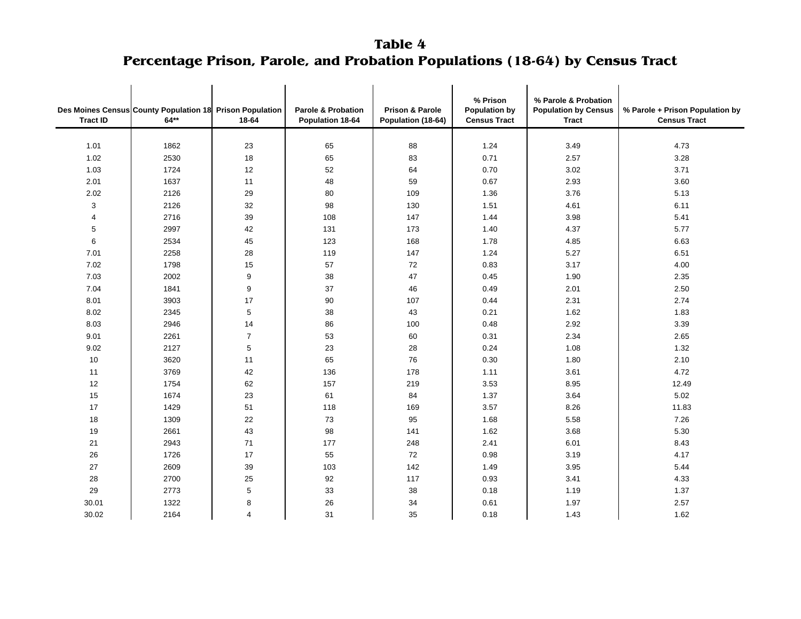**Table 4 Percentage Prison, Parole, and Probation Populations (18-64) by Census Tract**

| <b>Tract ID</b> | Des Moines Census County Population 18 Prison Population<br>$64**$ | 18-64            | <b>Parole &amp; Probation</b><br>Population 18-64 | % Prison<br>% Parole & Probation<br><b>Prison &amp; Parole</b><br><b>Population by</b><br><b>Population by Census</b><br>Population (18-64)<br><b>Census Tract</b><br>Tract |      | % Parole + Prison Population by<br><b>Census Tract</b> |       |
|-----------------|--------------------------------------------------------------------|------------------|---------------------------------------------------|-----------------------------------------------------------------------------------------------------------------------------------------------------------------------------|------|--------------------------------------------------------|-------|
|                 |                                                                    |                  |                                                   |                                                                                                                                                                             |      |                                                        |       |
| 1.01            | 1862                                                               | 23               | 65                                                | 88                                                                                                                                                                          | 1.24 | 3.49                                                   | 4.73  |
| 1.02            | 2530                                                               | 18               | 65                                                | 83                                                                                                                                                                          | 0.71 | 2.57                                                   | 3.28  |
| 1.03            | 1724                                                               | 12               | 52                                                | 64                                                                                                                                                                          | 0.70 | 3.02                                                   | 3.71  |
| 2.01            | 1637                                                               | 11               | 48                                                | 59                                                                                                                                                                          | 0.67 | 2.93                                                   | 3.60  |
| 2.02            | 2126                                                               | 29               | 80                                                | 109                                                                                                                                                                         | 1.36 | 3.76                                                   | 5.13  |
| 3               | 2126                                                               | 32               | 98                                                | 130                                                                                                                                                                         | 1.51 | 4.61                                                   | 6.11  |
| 4               | 2716                                                               | 39               | 108                                               | 147                                                                                                                                                                         | 1.44 | 3.98                                                   | 5.41  |
| 5               | 2997                                                               | 42               | 131                                               | 173                                                                                                                                                                         | 1.40 | 4.37                                                   | 5.77  |
| 6               | 2534                                                               | 45               | 123                                               | 168                                                                                                                                                                         | 1.78 | 4.85                                                   | 6.63  |
| 7.01            | 2258                                                               | 28               | 119                                               | 147                                                                                                                                                                         | 1.24 | 5.27                                                   | 6.51  |
| 7.02            | 1798                                                               | 15               | 57                                                | 72                                                                                                                                                                          | 0.83 | 3.17                                                   | 4.00  |
| 7.03            | 2002                                                               | $\boldsymbol{9}$ | 38                                                | 47                                                                                                                                                                          | 0.45 | 1.90                                                   | 2.35  |
| 7.04            | 1841                                                               | $\mathsf g$      | 37                                                | 46                                                                                                                                                                          | 0.49 | 2.01                                                   | 2.50  |
| 8.01            | 3903                                                               | 17               | 90                                                | 107                                                                                                                                                                         | 0.44 | 2.31                                                   | 2.74  |
| 8.02            | 2345                                                               | 5                | 38                                                | 43                                                                                                                                                                          | 0.21 | 1.62                                                   | 1.83  |
| 8.03            | 2946                                                               | 14               | 86                                                | 100                                                                                                                                                                         | 0.48 | 2.92                                                   | 3.39  |
| 9.01            | 2261                                                               | $\overline{7}$   | 53                                                | 60                                                                                                                                                                          | 0.31 | 2.34                                                   | 2.65  |
| 9.02            | 2127                                                               | 5                | 23                                                | 28                                                                                                                                                                          | 0.24 | 1.08                                                   | 1.32  |
| 10              | 3620                                                               | 11               | 65                                                | 76                                                                                                                                                                          | 0.30 | 1.80                                                   | 2.10  |
| 11              | 3769                                                               | 42               | 136                                               | 178                                                                                                                                                                         | 1.11 | 3.61                                                   | 4.72  |
| 12              | 1754                                                               | 62               | 157                                               | 219                                                                                                                                                                         | 3.53 | 8.95                                                   | 12.49 |
| 15              | 1674                                                               | 23               | 61                                                | 84                                                                                                                                                                          | 1.37 | 3.64                                                   | 5.02  |
| 17              | 1429                                                               | 51               | 118                                               | 169                                                                                                                                                                         | 3.57 | 8.26                                                   | 11.83 |
| 18              | 1309                                                               | 22               | 73                                                | 95                                                                                                                                                                          | 1.68 | 5.58                                                   | 7.26  |
| 19              | 2661                                                               | 43               | 98                                                | 141                                                                                                                                                                         | 1.62 | 3.68                                                   | 5.30  |
| 21              | 2943                                                               | 71               | 177                                               | 248                                                                                                                                                                         | 2.41 | 6.01                                                   | 8.43  |
| 26              | 1726                                                               | 17               | 55                                                | 72                                                                                                                                                                          | 0.98 | 3.19                                                   | 4.17  |
| 27              | 2609                                                               | 39               | 103                                               | 142                                                                                                                                                                         | 1.49 | 3.95                                                   | 5.44  |
| 28              | 2700                                                               | 25               | 92                                                | 117                                                                                                                                                                         | 0.93 | 3.41                                                   | 4.33  |
| 29              | 2773                                                               | 5                | 33                                                | 38                                                                                                                                                                          | 0.18 | 1.19                                                   | 1.37  |
| 30.01           | 1322                                                               | 8                | 26                                                | 34                                                                                                                                                                          | 0.61 | 1.97                                                   | 2.57  |
| 30.02           | 2164                                                               | 4                | 31                                                | 35                                                                                                                                                                          | 0.18 | 1.43                                                   | 1.62  |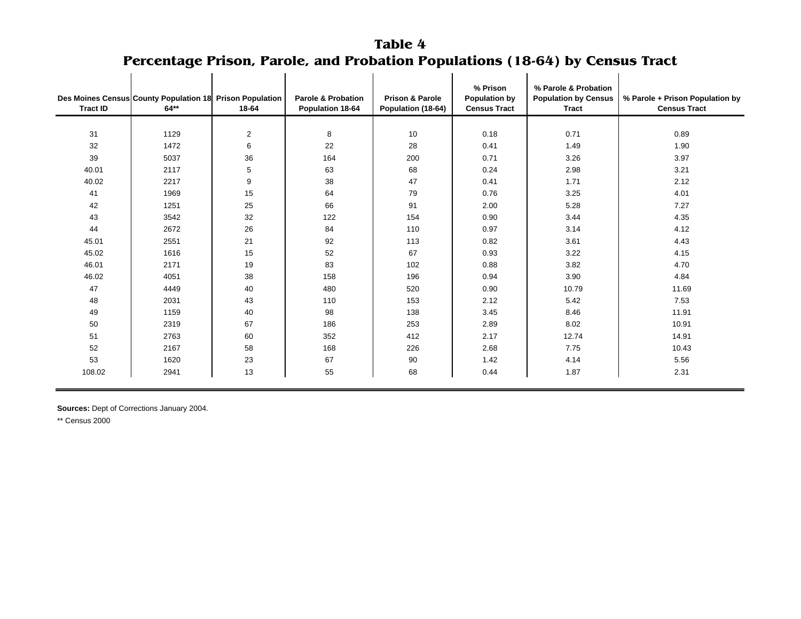#### **Table 4Percentage Prison, Parole, and Probation Populations (18-64) by Census Tract** i.

| <b>Tract ID</b> | Des Moines Census County Population 18 Prison Population<br>$64**$ | 18-64          | <b>Parole &amp; Probation</b><br>Population 18-64 | <b>Prison &amp; Parole</b><br>Population (18-64) | % Prison<br><b>Population by</b><br><b>Census Tract</b> | % Parole & Probation<br><b>Population by Census</b><br><b>Tract</b> | % Parole + Prison Population by<br><b>Census Tract</b> |
|-----------------|--------------------------------------------------------------------|----------------|---------------------------------------------------|--------------------------------------------------|---------------------------------------------------------|---------------------------------------------------------------------|--------------------------------------------------------|
|                 |                                                                    |                |                                                   |                                                  |                                                         |                                                                     |                                                        |
| 31              | 1129                                                               | $\overline{2}$ | 8                                                 | 10                                               | 0.18                                                    | 0.71                                                                | 0.89                                                   |
| 32              | 1472                                                               | 6              | 22                                                | 28                                               | 0.41                                                    | 1.49                                                                | 1.90                                                   |
| 39              | 5037                                                               | 36             | 164                                               | 200                                              | 0.71                                                    | 3.26                                                                | 3.97                                                   |
| 40.01           | 2117                                                               | 5              | 63                                                | 68                                               | 0.24                                                    | 2.98                                                                | 3.21                                                   |
| 40.02           | 2217                                                               | 9              | 38                                                | 47                                               | 0.41                                                    | 1.71                                                                | 2.12                                                   |
| 41              | 1969                                                               | 15             | 64                                                | 79                                               | 0.76                                                    | 3.25                                                                | 4.01                                                   |
| 42              | 1251                                                               | 25             | 66                                                | 91                                               | 2.00                                                    | 5.28                                                                | 7.27                                                   |
| 43              | 3542                                                               | 32             | 122                                               | 154                                              | 0.90                                                    | 3.44                                                                | 4.35                                                   |
| 44              | 2672                                                               | 26             | 84                                                | 110                                              | 0.97                                                    | 3.14                                                                | 4.12                                                   |
| 45.01           | 2551                                                               | 21             | 92                                                | 113                                              | 0.82                                                    | 3.61                                                                | 4.43                                                   |
| 45.02           | 1616                                                               | 15             | 52                                                | 67                                               | 0.93                                                    | 3.22                                                                | 4.15                                                   |
| 46.01           | 2171                                                               | 19             | 83                                                | 102                                              | 0.88                                                    | 3.82                                                                | 4.70                                                   |
| 46.02           | 4051                                                               | 38             | 158                                               | 196                                              | 0.94                                                    | 3.90                                                                | 4.84                                                   |
| 47              | 4449                                                               | 40             | 480                                               | 520                                              | 0.90                                                    | 10.79                                                               | 11.69                                                  |
| 48              | 2031                                                               | 43             | 110                                               | 153                                              | 2.12                                                    | 5.42                                                                | 7.53                                                   |
| 49              | 1159                                                               | 40             | 98                                                | 138                                              | 3.45                                                    | 8.46                                                                | 11.91                                                  |
| 50              | 2319                                                               | 67             | 186                                               | 253                                              | 2.89                                                    | 8.02                                                                | 10.91                                                  |
| 51              | 2763                                                               | 60             | 352                                               | 412                                              | 2.17                                                    | 12.74                                                               | 14.91                                                  |
| 52              | 2167                                                               | 58             | 168                                               | 226                                              | 2.68                                                    | 7.75                                                                | 10.43                                                  |
| 53              | 1620                                                               | 23             | 67                                                | 90                                               | 1.42                                                    | 4.14                                                                | 5.56                                                   |
| 108.02          | 2941                                                               | 13             | 55                                                | 68                                               | 0.44                                                    | 1.87                                                                | 2.31                                                   |

**Sources:** Dept of Corrections January 2004.

\*\* Census 2000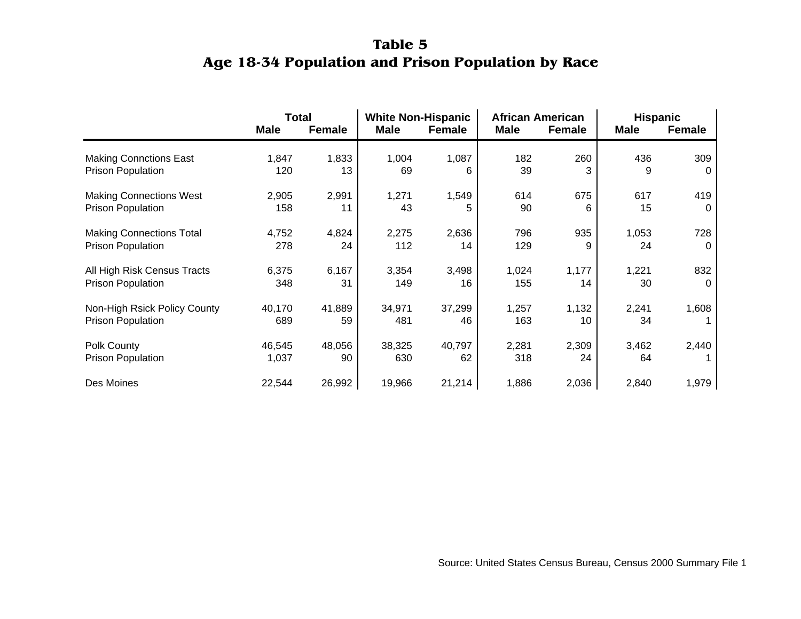### **Table 5Age 18-34 Population and Prison Population by Race**

|                                 | <b>Total</b> |               | <b>White Non-Hispanic</b><br><b>Male</b><br><b>Female</b> |        | <b>African American</b><br><b>Male</b> |               | <b>Hispanic</b><br><b>Female</b> |          |
|---------------------------------|--------------|---------------|-----------------------------------------------------------|--------|----------------------------------------|---------------|----------------------------------|----------|
|                                 | <b>Male</b>  | <b>Female</b> |                                                           |        |                                        | <b>Female</b> | <b>Male</b>                      |          |
| <b>Making Connctions East</b>   | 1,847        | 1,833         | 1,004                                                     | 1,087  | 182                                    | 260           | 436                              | 309      |
| <b>Prison Population</b>        | 120          | 13            | 69                                                        | 6      | 39                                     | 3             | 9                                | $\Omega$ |
| <b>Making Connections West</b>  | 2,905        | 2,991         | 1,271                                                     | 1,549  | 614                                    | 675           | 617                              | 419      |
| <b>Prison Population</b>        | 158          | 11            | 43                                                        | 5      | 90                                     | 6             | 15                               | $\Omega$ |
| <b>Making Connections Total</b> | 4,752        | 4,824         | 2,275                                                     | 2,636  | 796                                    | 935           | 1,053                            | 728      |
| <b>Prison Population</b>        | 278          | 24            | 112                                                       | 14     | 129                                    | 9             | 24                               | 0        |
| All High Risk Census Tracts     | 6,375        | 6,167         | 3,354                                                     | 3,498  | 1,024                                  | 1,177         | 1,221                            | 832      |
| <b>Prison Population</b>        | 348          | 31            | 149                                                       | 16     | 155                                    | 14            | 30                               | $\Omega$ |
| Non-High Rsick Policy County    | 40,170       | 41,889        | 34,971                                                    | 37,299 | 1,257                                  | 1,132         | 2,241                            | 1,608    |
| <b>Prison Population</b>        | 689          | 59            | 481                                                       | 46     | 163                                    | 10            | 34                               |          |
| Polk County                     | 46,545       | 48,056        | 38,325                                                    | 40,797 | 2,281                                  | 2,309         | 3,462                            | 2,440    |
| <b>Prison Population</b>        | 1,037        | 90            | 630                                                       | 62     | 318                                    | 24            | 64                               |          |
| Des Moines                      | 22,544       | 26,992        | 19,966                                                    | 21,214 | 1,886                                  | 2,036         | 2,840                            | 1,979    |